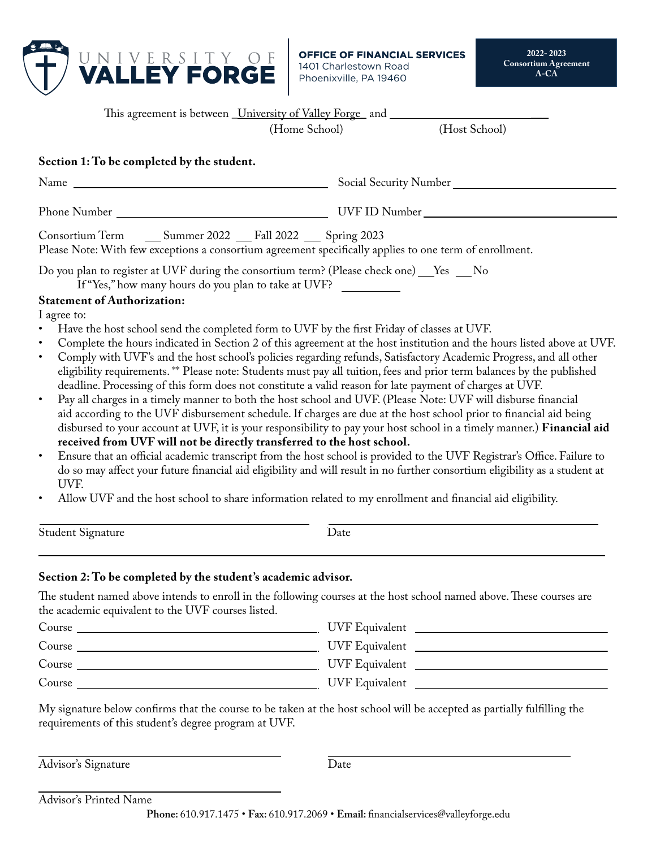

**OFFICE OF FINANCIAL SERVICES** 1401 Charlestown Road Phoenixville, PA 19460

| This agreement is between University of Valley Forge and                                                                                       |                                                                                                                                                                                                                                                                                                                                                                                                |                                                                                                                                                                                                                                                                                                                                                                                                                                                                                                                                                                                                                                                                                                                                                                                                                                                                                                                                                                                                 |  |  |
|------------------------------------------------------------------------------------------------------------------------------------------------|------------------------------------------------------------------------------------------------------------------------------------------------------------------------------------------------------------------------------------------------------------------------------------------------------------------------------------------------------------------------------------------------|-------------------------------------------------------------------------------------------------------------------------------------------------------------------------------------------------------------------------------------------------------------------------------------------------------------------------------------------------------------------------------------------------------------------------------------------------------------------------------------------------------------------------------------------------------------------------------------------------------------------------------------------------------------------------------------------------------------------------------------------------------------------------------------------------------------------------------------------------------------------------------------------------------------------------------------------------------------------------------------------------|--|--|
|                                                                                                                                                | (Home School)                                                                                                                                                                                                                                                                                                                                                                                  | (Host School)                                                                                                                                                                                                                                                                                                                                                                                                                                                                                                                                                                                                                                                                                                                                                                                                                                                                                                                                                                                   |  |  |
| Section 1: To be completed by the student.                                                                                                     |                                                                                                                                                                                                                                                                                                                                                                                                |                                                                                                                                                                                                                                                                                                                                                                                                                                                                                                                                                                                                                                                                                                                                                                                                                                                                                                                                                                                                 |  |  |
|                                                                                                                                                | Social Security Number                                                                                                                                                                                                                                                                                                                                                                         |                                                                                                                                                                                                                                                                                                                                                                                                                                                                                                                                                                                                                                                                                                                                                                                                                                                                                                                                                                                                 |  |  |
|                                                                                                                                                |                                                                                                                                                                                                                                                                                                                                                                                                |                                                                                                                                                                                                                                                                                                                                                                                                                                                                                                                                                                                                                                                                                                                                                                                                                                                                                                                                                                                                 |  |  |
| Consortium Term<br>Please Note: With few exceptions a consortium agreement specifically applies to one term of enrollment.                     | Summer 2022 Fall 2022 Spring 2023                                                                                                                                                                                                                                                                                                                                                              |                                                                                                                                                                                                                                                                                                                                                                                                                                                                                                                                                                                                                                                                                                                                                                                                                                                                                                                                                                                                 |  |  |
| Do you plan to register at UVF during the consortium term? (Please check one) Fes hold<br>If "Yes," how many hours do you plan to take at UVF? |                                                                                                                                                                                                                                                                                                                                                                                                |                                                                                                                                                                                                                                                                                                                                                                                                                                                                                                                                                                                                                                                                                                                                                                                                                                                                                                                                                                                                 |  |  |
| <b>Statement of Authorization:</b><br>I agree to:<br>$\bullet$<br>$\bullet$<br>$\bullet$<br>$\bullet$<br>UVF.<br>$\bullet$                     | Have the host school send the completed form to UVF by the first Friday of classes at UVF.<br>deadline. Processing of this form does not constitute a valid reason for late payment of charges at UVF.<br>received from UVF will not be directly transferred to the host school.<br>Allow UVF and the host school to share information related to my enrollment and financial aid eligibility. | Complete the hours indicated in Section 2 of this agreement at the host institution and the hours listed above at UVF.<br>Comply with UVF's and the host school's policies regarding refunds, Satisfactory Academic Progress, and all other<br>eligibility requirements. ** Please note: Students must pay all tuition, fees and prior term balances by the published<br>Pay all charges in a timely manner to both the host school and UVF. (Please Note: UVF will disburse financial<br>aid according to the UVF disbursement schedule. If charges are due at the host school prior to financial aid being<br>disbursed to your account at UVF, it is your responsibility to pay your host school in a timely manner.) Financial aid<br>Ensure that an official academic transcript from the host school is provided to the UVF Registrar's Office. Failure to<br>do so may affect your future financial aid eligibility and will result in no further consortium eligibility as a student at |  |  |
| Student Signature                                                                                                                              | Date                                                                                                                                                                                                                                                                                                                                                                                           |                                                                                                                                                                                                                                                                                                                                                                                                                                                                                                                                                                                                                                                                                                                                                                                                                                                                                                                                                                                                 |  |  |
| Section 2: To be completed by the student's academic advisor.                                                                                  |                                                                                                                                                                                                                                                                                                                                                                                                |                                                                                                                                                                                                                                                                                                                                                                                                                                                                                                                                                                                                                                                                                                                                                                                                                                                                                                                                                                                                 |  |  |
| the academic equivalent to the UVF courses listed.                                                                                             |                                                                                                                                                                                                                                                                                                                                                                                                | The student named above intends to enroll in the following courses at the host school named above. These courses are                                                                                                                                                                                                                                                                                                                                                                                                                                                                                                                                                                                                                                                                                                                                                                                                                                                                            |  |  |
|                                                                                                                                                |                                                                                                                                                                                                                                                                                                                                                                                                |                                                                                                                                                                                                                                                                                                                                                                                                                                                                                                                                                                                                                                                                                                                                                                                                                                                                                                                                                                                                 |  |  |
| Course                                                                                                                                         |                                                                                                                                                                                                                                                                                                                                                                                                | UVF Equivalent                                                                                                                                                                                                                                                                                                                                                                                                                                                                                                                                                                                                                                                                                                                                                                                                                                                                                                                                                                                  |  |  |
|                                                                                                                                                |                                                                                                                                                                                                                                                                                                                                                                                                |                                                                                                                                                                                                                                                                                                                                                                                                                                                                                                                                                                                                                                                                                                                                                                                                                                                                                                                                                                                                 |  |  |

My signature below confirms that the course to be taken at the host school will be accepted as partially fulfilling the requirements of this student's degree program at UVF.

Course UVF Equivalent

Course UVF Equivalent

Advisor's Signature

Date

Advisor's Printed Name